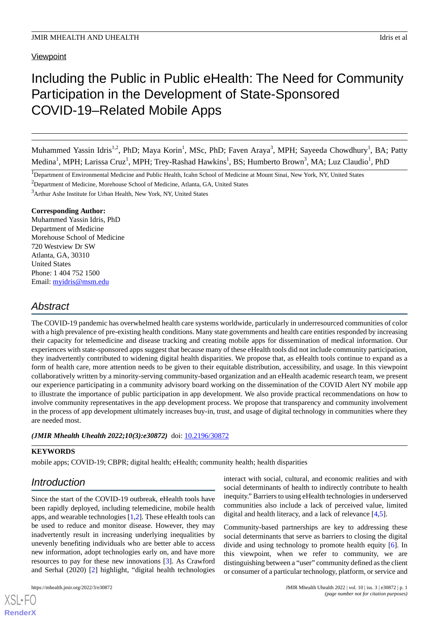#### **Viewpoint**

# Including the Public in Public eHealth: The Need for Community Participation in the Development of State-Sponsored COVID-19–Related Mobile Apps

Muhammed Yassin Idris<sup>1,2</sup>, PhD; Maya Korin<sup>1</sup>, MSc, PhD; Faven Araya<sup>3</sup>, MPH; Sayeeda Chowdhury<sup>1</sup>, BA; Patty Medina<sup>1</sup>, MPH; Larissa Cruz<sup>1</sup>, MPH; Trey-Rashad Hawkins<sup>1</sup>, BS; Humberto Brown<sup>3</sup>, MA; Luz Claudio<sup>1</sup>, PhD

<sup>2</sup>Department of Medicine, Morehouse School of Medicine, Atlanta, GA, United States

<sup>3</sup>Arthur Ashe Institute for Urban Health, New York, NY, United States

#### **Corresponding Author:**

Muhammed Yassin Idris, PhD Department of Medicine Morehouse School of Medicine 720 Westview Dr SW Atlanta, GA, 30310 United States Phone: 1 404 752 1500 Email: [myidris@msm.edu](mailto:myidris@msm.edu)

### *Abstract*

The COVID-19 pandemic has overwhelmed health care systems worldwide, particularly in underresourced communities of color with a high prevalence of pre-existing health conditions. Many state governments and health care entities responded by increasing their capacity for telemedicine and disease tracking and creating mobile apps for dissemination of medical information. Our experiences with state-sponsored apps suggest that because many of these eHealth tools did not include community participation, they inadvertently contributed to widening digital health disparities. We propose that, as eHealth tools continue to expand as a form of health care, more attention needs to be given to their equitable distribution, accessibility, and usage. In this viewpoint collaboratively written by a minority-serving community-based organization and an eHealth academic research team, we present our experience participating in a community advisory board working on the dissemination of the COVID Alert NY mobile app to illustrate the importance of public participation in app development. We also provide practical recommendations on how to involve community representatives in the app development process. We propose that transparency and community involvement in the process of app development ultimately increases buy-in, trust, and usage of digital technology in communities where they are needed most.

#### (JMIR Mhealth Uhealth 2022;10(3):e30872) doi: [10.2196/30872](http://dx.doi.org/10.2196/30872)

#### **KEYWORDS**

mobile apps; COVID-19; CBPR; digital health; eHealth; community health; health disparities

### *Introduction*

Since the start of the COVID-19 outbreak, eHealth tools have been rapidly deployed, including telemedicine, mobile health apps, and wearable technologies [\[1](#page-5-0),[2\]](#page-5-1). These eHealth tools can be used to reduce and monitor disease. However, they may inadvertently result in increasing underlying inequalities by unevenly benefiting individuals who are better able to access new information, adopt technologies early on, and have more resources to pay for these new innovations [[3\]](#page-5-2). As Crawford and Serhal (2020) [\[2](#page-5-1)] highlight, "digital health technologies

[XSL](http://www.w3.org/Style/XSL)•FO **[RenderX](http://www.renderx.com/)**

interact with social, cultural, and economic realities and with social determinants of health to indirectly contribute to health inequity." Barriers to using eHealth technologies in underserved communities also include a lack of perceived value, limited digital and health literacy, and a lack of relevance [\[4](#page-5-3),[5\]](#page-5-4).

Community-based partnerships are key to addressing these social determinants that serve as barriers to closing the digital divide and using technology to promote health equity [\[6](#page-5-5)]. In this viewpoint, when we refer to community, we are distinguishing between a "user" community defined as the client or consumer of a particular technology, platform, or service and

<sup>&</sup>lt;sup>1</sup>Department of Environmental Medicine and Public Health, Icahn School of Medicine at Mount Sinai, New York, NY, United States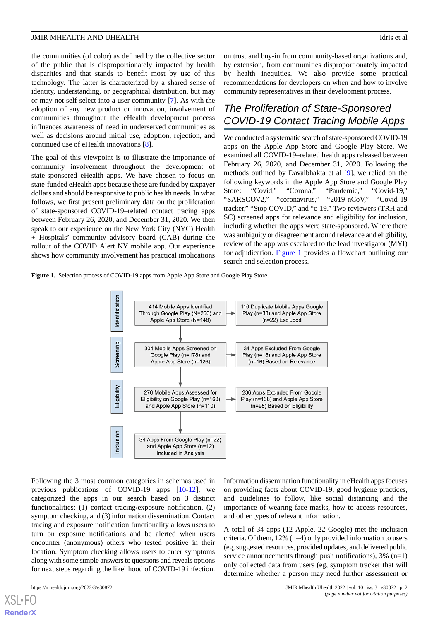the communities (of color) as defined by the collective sector of the public that is disproportionately impacted by health disparities and that stands to benefit most by use of this technology. The latter is characterized by a shared sense of identity, understanding, or geographical distribution, but may or may not self-select into a user community [[7\]](#page-5-6). As with the adoption of any new product or innovation, involvement of communities throughout the eHealth development process influences awareness of need in underserved communities as well as decisions around initial use, adoption, rejection, and continued use of eHealth innovations [[8\]](#page-5-7).

The goal of this viewpoint is to illustrate the importance of community involvement throughout the development of state-sponsored eHealth apps. We have chosen to focus on state-funded eHealth apps because these are funded by taxpayer dollars and should be responsive to public health needs. In what follows, we first present preliminary data on the proliferation of state-sponsored COVID-19–related contact tracing apps between February 26, 2020, and December 31, 2020. We then speak to our experience on the New York City (NYC) Health + Hospitals' community advisory board (CAB) during the rollout of the COVID Alert NY mobile app. Our experience shows how community involvement has practical implications

on trust and buy-in from community-based organizations and, by extension, from communities disproportionately impacted by health inequities. We also provide some practical recommendations for developers on when and how to involve community representatives in their development process.

### *The Proliferation of State-Sponsored COVID-19 Contact Tracing Mobile Apps*

We conducted a systematic search of state-sponsored COVID-19 apps on the Apple App Store and Google Play Store. We examined all COVID-19–related health apps released between February 26, 2020, and December 31, 2020. Following the methods outlined by Davalbhakta et al [\[9](#page-5-8)], we relied on the following keywords in the Apple App Store and Google Play Store: "Covid," "Corona," "Pandemic," "Covid-19," "SARSCOV2," "coronavirus," "2019-nCoV," "Covid-19 tracker," "Stop COVID," and "c-19." Two reviewers (TRH and SC) screened apps for relevance and eligibility for inclusion, including whether the apps were state-sponsored. Where there was ambiguity or disagreement around relevance and eligibility, review of the app was escalated to the lead investigator (MYI) for adjudication. [Figure 1](#page-1-0) provides a flowchart outlining our search and selection process.

<span id="page-1-0"></span>**Figure 1.** Selection process of COVID-19 apps from Apple App Store and Google Play Store.



Following the 3 most common categories in schemas used in previous publications of COVID-19 apps [\[10](#page-6-0)-[12\]](#page-6-1), we categorized the apps in our search based on 3 distinct functionalities: (1) contact tracing/exposure notification, (2) symptom checking, and (3) information dissemination. Contact tracing and exposure notification functionality allows users to turn on exposure notifications and be alerted when users encounter (anonymous) others who tested positive in their location. Symptom checking allows users to enter symptoms along with some simple answers to questions and reveals options for next steps regarding the likelihood of COVID-19 infection.

Information dissemination functionality in eHealth apps focuses on providing facts about COVID-19, good hygiene practices, and guidelines to follow, like social distancing and the importance of wearing face masks, how to access resources, and other types of relevant information.

A total of 34 apps (12 Apple, 22 Google) met the inclusion criteria. Of them, 12% (n=4) only provided information to users (eg, suggested resources, provided updates, and delivered public service announcements through push notifications),  $3\%$  (n=1) only collected data from users (eg, symptom tracker that will determine whether a person may need further assessment or

[XSL](http://www.w3.org/Style/XSL)•FO **[RenderX](http://www.renderx.com/)**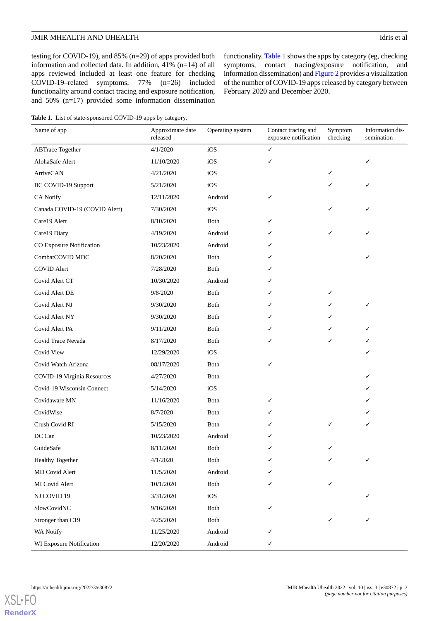functionality. [Table 1](#page-2-0) shows the apps by category (eg, checking symptoms, contact tracing/exposure notification, and information dissemination) and [Figure 2](#page-3-0) provides a visualization of the number of COVID-19 apps released by category between

February 2020 and December 2020.

testing for COVID-19), and 85% (n=29) of apps provided both information and collected data. In addition, 41% (n=14) of all apps reviewed included at least one feature for checking COVID-19–related symptoms, 77% (n=26) included functionality around contact tracing and exposure notification, and 50% (n=17) provided some information dissemination

<span id="page-2-0"></span>Table 1. List of state-sponsored COVID-19 apps by category.

Information dissemination Symptom checking Contact tracing and exposure notification Approximate date Operating system released Name of app ABTrace Together  $4/1/2020$  iOS  $\checkmark$  $\Delta$ lohaSafe Alert 11/10/2020 iOS  $A$ rriveCAN  $4/21/2020$  iOS  $\checkmark$  $BC$  COVID-19 Support  $5/21/2020$  iOS CA Notify 12/11/2020 Android Canada COVID-19 (COVID Alert) 7/30/2020 iOS Care19 Alert  $8/10/2020$  Both Care19 Diary  $4/19/2020$  Android  $\checkmark$   $\checkmark$ CO Exposure Notification 10/23/2020 Android CombatCOVID MDC 8/20/2020 Both COVID Alert  $7/28/2020$  Both  $\checkmark$ Covid Alert CT  $10/30/2020$  Android  $\checkmark$ Covid Alert DE  $9/8/2020$  Both  $\checkmark$ Covid Alert NJ 9/30/2020 Both  $\checkmark$   $\checkmark$ Covid Alert NY 9/30/2020 Both Covid Alert PA 9/11/2020 Both  $\checkmark$   $\checkmark$ Covid Trace Nevada 8/17/2020 Both  $Covid$  View  $12/29/2020$  iOS  $\checkmark$ Covid Watch Arizona 08/17/2020 Both COVID-19 Virginia Resources 4/27/2020 Both  $Covid-19$  Wisconsin Connect  $5/14/2020$  iOS Covidaware MN  $11/16/2020$  Both  $\checkmark$  $\text{CovidWise}$  8/7/2020 Both  $\checkmark$ Crush Covid RI 5/15/2020 Both DC Can  $10/23/2020$  Android  $\checkmark$ GuideSafe 8/11/2020 Both  $\checkmark$ Healthy Together 4/1/2020 Both MD Covid Alert 11/5/2020 Android MI Covid Alert  $10/1/2020$  Both NJ COVID 19  $3/31/2020$  iOS  $\checkmark$  $SlowCovidNC$  9/16/2020 Both Stronger than C19  $4/25/2020$  Both WA Notify  $11/25/2020$  Android WI Exposure Notification  $12/20/2020$  Android  $\checkmark$ 

[XSL](http://www.w3.org/Style/XSL)•FO **[RenderX](http://www.renderx.com/)**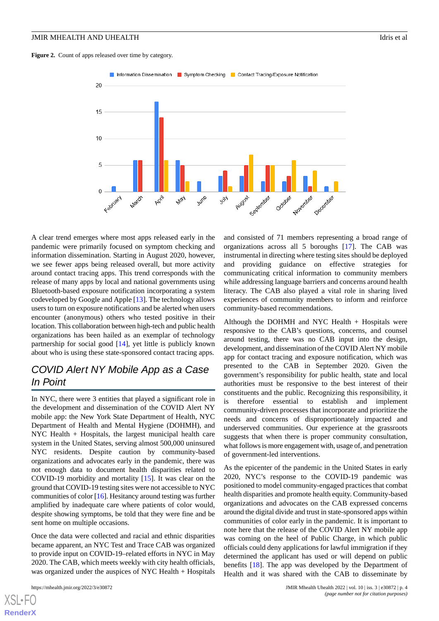#### JMIR MHEALTH AND UHEALTH IDRIGHT IDRIGHT IN THE STATE OF A LOCAL CONSTRUCTION IDENTIFIED AND LOTE OF A LOCAL CONSTRUCTION IN THE STATE OF A LOCAL CONSTRUCTION OF A LOCAL CONSTRUCTION OF A LOCAL CONSTRUCTION OF A LOCAL CONS

<span id="page-3-0"></span>



A clear trend emerges where most apps released early in the pandemic were primarily focused on symptom checking and information dissemination. Starting in August 2020, however, we see fewer apps being released overall, but more activity around contact tracing apps. This trend corresponds with the release of many apps by local and national governments using Bluetooth-based exposure notification incorporating a system codeveloped by Google and Apple [\[13](#page-6-2)]. The technology allows users to turn on exposure notifications and be alerted when users encounter (anonymous) others who tested positive in their location. This collaboration between high-tech and public health organizations has been hailed as an exemplar of technology partnership for social good [\[14](#page-6-3)], yet little is publicly known about who is using these state-sponsored contact tracing apps.

# *COVID Alert NY Mobile App as a Case In Point*

In NYC, there were 3 entities that played a significant role in the development and dissemination of the COVID Alert NY mobile app: the New York State Department of Health, NYC Department of Health and Mental Hygiene (DOHMH), and NYC Health + Hospitals, the largest municipal health care system in the United States, serving almost 500,000 uninsured NYC residents. Despite caution by community-based organizations and advocates early in the pandemic, there was not enough data to document health disparities related to COVID-19 morbidity and mortality [[15\]](#page-6-4). It was clear on the ground that COVID-19 testing sites were not accessible to NYC communities of color [\[16](#page-6-5)]. Hesitancy around testing was further amplified by inadequate care where patients of color would, despite showing symptoms, be told that they were fine and be sent home on multiple occasions.

Once the data were collected and racial and ethnic disparities became apparent, an NYC Test and Trace CAB was organized to provide input on COVID-19–related efforts in NYC in May 2020. The CAB, which meets weekly with city health officials, was organized under the auspices of NYC Health + Hospitals

[XSL](http://www.w3.org/Style/XSL)•FO **[RenderX](http://www.renderx.com/)**

and consisted of 71 members representing a broad range of organizations across all 5 boroughs [[17\]](#page-6-6). The CAB was instrumental in directing where testing sites should be deployed and providing guidance on effective strategies for communicating critical information to community members while addressing language barriers and concerns around health literacy. The CAB also played a vital role in sharing lived experiences of community members to inform and reinforce community-based recommendations.

Although the DOHMH and NYC Health  $+$  Hospitals were responsive to the CAB's questions, concerns, and counsel around testing, there was no CAB input into the design, development, and dissemination of the COVID Alert NY mobile app for contact tracing and exposure notification, which was presented to the CAB in September 2020. Given the government's responsibility for public health, state and local authorities must be responsive to the best interest of their constituents and the public. Recognizing this responsibility, it is therefore essential to establish and implement community-driven processes that incorporate and prioritize the needs and concerns of disproportionately impacted and underserved communities. Our experience at the grassroots suggests that when there is proper community consultation, what follows is more engagement with, usage of, and penetration of government-led interventions.

As the epicenter of the pandemic in the United States in early 2020, NYC's response to the COVID-19 pandemic was positioned to model community-engaged practices that combat health disparities and promote health equity. Community-based organizations and advocates on the CAB expressed concerns around the digital divide and trust in state-sponsored apps within communities of color early in the pandemic. It is important to note here that the release of the COVID Alert NY mobile app was coming on the heel of Public Charge, in which public officials could deny applications for lawful immigration if they determined the applicant has used or will depend on public benefits [\[18](#page-6-7)]. The app was developed by the Department of Health and it was shared with the CAB to disseminate by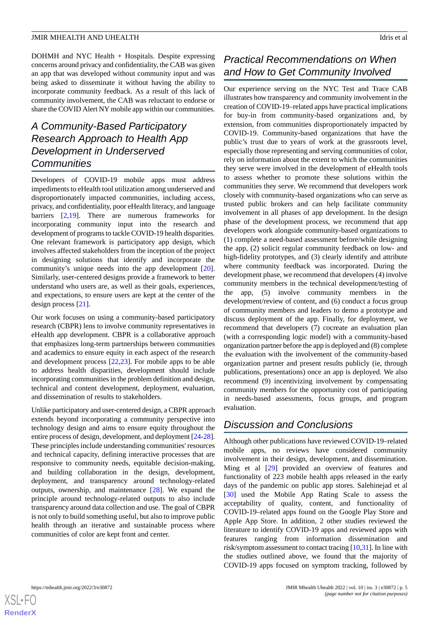DOHMH and NYC Health + Hospitals. Despite expressing concerns around privacy and confidentiality, the CAB was given an app that was developed without community input and was being asked to disseminate it without having the ability to incorporate community feedback. As a result of this lack of community involvement, the CAB was reluctant to endorse or share the COVID Alert NY mobile app within our communities.

# *A Community-Based Participatory Research Approach to Health App Development in Underserved Communities*

Developers of COVID-19 mobile apps must address impediments to eHealth tool utilization among underserved and disproportionately impacted communities, including access, privacy, and confidentiality, poor eHealth literacy, and language barriers [\[2](#page-5-1),[19\]](#page-6-8). There are numerous frameworks for incorporating community input into the research and development of programs to tackle COVID-19 health disparities. One relevant framework is participatory app design, which involves affected stakeholders from the inception of the project in designing solutions that identify and incorporate the community's unique needs into the app development [[20\]](#page-6-9). Similarly, user-centered designs provide a framework to better understand who users are, as well as their goals, experiences, and expectations, to ensure users are kept at the center of the design process [[21\]](#page-6-10).

Our work focuses on using a community-based participatory research (CBPR) lens to involve community representatives in eHealth app development. CBPR is a collaborative approach that emphasizes long-term partnerships between communities and academics to ensure equity in each aspect of the research and development process [[22](#page-6-11)[,23](#page-6-12)]. For mobile apps to be able to address health disparities, development should include incorporating communities in the problem definition and design, technical and content development, deployment, evaluation, and dissemination of results to stakeholders.

Unlike participatory and user-centered design, a CBPR approach extends beyond incorporating a community perspective into technology design and aims to ensure equity throughout the entire process of design, development, and deployment [[24-](#page-6-13)[28\]](#page-6-14). These principles include understanding communities' resources and technical capacity, defining interactive processes that are responsive to community needs, equitable decision-making, and building collaboration in the design, development, deployment, and transparency around technology-related outputs, ownership, and maintenance [[28\]](#page-6-14). We expand the principle around technology-related outputs to also include transparency around data collection and use. The goal of CBPR is not only to build something useful, but also to improve public health through an iterative and sustainable process where communities of color are kept front and center.

# *Practical Recommendations on When and How to Get Community Involved*

Our experience serving on the NYC Test and Trace CAB illustrates how transparency and community involvement in the creation of COVID-19–related apps have practical implications for buy-in from community-based organizations and, by extension, from communities disproportionately impacted by COVID-19. Community-based organizations that have the public's trust due to years of work at the grassroots level, especially those representing and serving communities of color, rely on information about the extent to which the communities they serve were involved in the development of eHealth tools to assess whether to promote these solutions within the communities they serve. We recommend that developers work closely with community-based organizations who can serve as trusted public brokers and can help facilitate community involvement in all phases of app development. In the design phase of the development process, we recommend that app developers work alongside community-based organizations to (1) complete a need-based assessment before/while designing the app, (2) solicit regular community feedback on low- and high-fidelity prototypes, and (3) clearly identify and attribute where community feedback was incorporated. During the development phase, we recommend that developers (4) involve community members in the technical development/testing of the app, (5) involve community members in the development/review of content, and (6) conduct a focus group of community members and leaders to demo a prototype and discuss deployment of the app. Finally, for deployment, we recommend that developers (7) cocreate an evaluation plan (with a corresponding logic model) with a community-based organization partner before the app is deployed and (8) complete the evaluation with the involvement of the community-based organization partner and present results publicly (ie, through publications, presentations) once an app is deployed. We also recommend (9) incentivizing involvement by compensating community members for the opportunity cost of participating in needs-based assessments, focus groups, and program evaluation.

### *Discussion and Conclusions*

Although other publications have reviewed COVID-19–related mobile apps, no reviews have considered community involvement in their design, development, and dissemination. Ming et al [\[29](#page-6-15)] provided an overview of features and functionality of 223 mobile health apps released in the early days of the pandemic on public app stores. Salehinejad et al [[30\]](#page-6-16) used the Mobile App Rating Scale to assess the acceptability of quality, content, and functionality of COVID-19–related apps found on the Google Play Store and Apple App Store. In addition, 2 other studies reviewed the literature to identify COVID-19 apps and reviewed apps with features ranging from information dissemination and risk/symptom assessment to contact tracing [\[10](#page-6-0),[31\]](#page-6-17). In line with the studies outlined above, we found that the majority of COVID-19 apps focused on symptom tracking, followed by

 $XS$ -FO **[RenderX](http://www.renderx.com/)**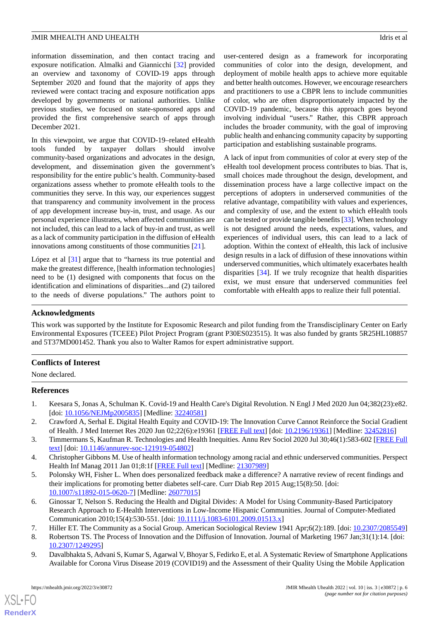information dissemination, and then contact tracing and exposure notification. Almalki and Giannicchi [\[32](#page-6-18)] provided an overview and taxonomy of COVID-19 apps through September 2020 and found that the majority of apps they reviewed were contact tracing and exposure notification apps developed by governments or national authorities. Unlike previous studies, we focused on state-sponsored apps and provided the first comprehensive search of apps through December 2021.

In this viewpoint, we argue that COVID-19–related eHealth tools funded by taxpayer dollars should involve community-based organizations and advocates in the design, development, and dissemination given the government's responsibility for the entire public's health. Community-based organizations assess whether to promote eHealth tools to the communities they serve. In this way, our experiences suggest that transparency and community involvement in the process of app development increase buy-in, trust, and usage. As our personal experience illustrates, when affected communities are not included, this can lead to a lack of buy-in and trust, as well as a lack of community participation in the diffusion of eHealth innovations among constituents of those communities [\[21](#page-6-10)].

López et al [\[31](#page-6-17)] argue that to "harness its true potential and make the greatest difference, [health information technologies] need to be (1) designed with components that focus on the identification and eliminations of disparities...and (2) tailored to the needs of diverse populations." The authors point to

user-centered design as a framework for incorporating communities of color into the design, development, and deployment of mobile health apps to achieve more equitable and better health outcomes. However, we encourage researchers and practitioners to use a CBPR lens to include communities of color, who are often disproportionately impacted by the COVID-19 pandemic, because this approach goes beyond involving individual "users." Rather, this CBPR approach includes the broader community, with the goal of improving public health and enhancing community capacity by supporting participation and establishing sustainable programs.

A lack of input from communities of color at every step of the eHealth tool development process contributes to bias. That is, small choices made throughout the design, development, and dissemination process have a large collective impact on the perceptions of adopters in underserved communities of the relative advantage, compatibility with values and experiences, and complexity of use, and the extent to which eHealth tools can be tested or provide tangible benefits [\[33](#page-6-19)]. When technology is not designed around the needs, expectations, values, and experiences of individual users, this can lead to a lack of adoption. Within the context of eHealth, this lack of inclusive design results in a lack of diffusion of these innovations within underserved communities, which ultimately exacerbates health disparities [\[34](#page-6-20)]. If we truly recognize that health disparities exist, we must ensure that underserved communities feel comfortable with eHealth apps to realize their full potential.

#### **Acknowledgments**

This work was supported by the Institute for Exposomic Research and pilot funding from the Transdisciplinary Center on Early Environmental Exposures (TCEEE) Pilot Project Program (grant P30ES023515). It was also funded by grants 5R25HL108857 and 5T37MD001452. Thank you also to Walter Ramos for expert administrative support.

#### <span id="page-5-0"></span>**Conflicts of Interest**

<span id="page-5-1"></span>None declared.

#### <span id="page-5-2"></span>**References**

- <span id="page-5-3"></span>1. Keesara S, Jonas A, Schulman K. Covid-19 and Health Care's Digital Revolution. N Engl J Med 2020 Jun 04;382(23):e82. [doi: [10.1056/NEJMp2005835](http://dx.doi.org/10.1056/NEJMp2005835)] [Medline: [32240581](http://www.ncbi.nlm.nih.gov/entrez/query.fcgi?cmd=Retrieve&db=PubMed&list_uids=32240581&dopt=Abstract)]
- <span id="page-5-4"></span>2. Crawford A, Serhal E. Digital Health Equity and COVID-19: The Innovation Curve Cannot Reinforce the Social Gradient of Health. J Med Internet Res 2020 Jun 02;22(6):e19361 [[FREE Full text](https://www.jmir.org/2020/6/e19361/)] [doi: [10.2196/19361\]](http://dx.doi.org/10.2196/19361) [Medline: [32452816](http://www.ncbi.nlm.nih.gov/entrez/query.fcgi?cmd=Retrieve&db=PubMed&list_uids=32452816&dopt=Abstract)]
- 3. Timmermans S, Kaufman R. Technologies and Health Inequities. Annu Rev Sociol 2020 Jul 30;46(1):583-602 [\[FREE Full](https://doi.org/101146/annurev-soc-121919-054802) [text](https://doi.org/101146/annurev-soc-121919-054802)] [doi: [10.1146/annurev-soc-121919-054802](http://dx.doi.org/10.1146/annurev-soc-121919-054802)]
- <span id="page-5-5"></span>4. Christopher Gibbons M. Use of health information technology among racial and ethnic underserved communities. Perspect Health Inf Manag 2011 Jan 01;8:1f [\[FREE Full text\]](http://europepmc.org/abstract/MED/21307989) [Medline: [21307989](http://www.ncbi.nlm.nih.gov/entrez/query.fcgi?cmd=Retrieve&db=PubMed&list_uids=21307989&dopt=Abstract)]
- <span id="page-5-7"></span><span id="page-5-6"></span>5. Polonsky WH, Fisher L. When does personalized feedback make a difference? A narrative review of recent findings and their implications for promoting better diabetes self-care. Curr Diab Rep 2015 Aug;15(8):50. [doi: [10.1007/s11892-015-0620-7\]](http://dx.doi.org/10.1007/s11892-015-0620-7) [Medline: [26077015](http://www.ncbi.nlm.nih.gov/entrez/query.fcgi?cmd=Retrieve&db=PubMed&list_uids=26077015&dopt=Abstract)]
- <span id="page-5-8"></span>6. Ginossar T, Nelson S. Reducing the Health and Digital Divides: A Model for Using Community-Based Participatory Research Approach to E-Health Interventions in Low-Income Hispanic Communities. Journal of Computer-Mediated Communication 2010;15(4):530-551. [doi: [10.1111/j.1083-6101.2009.01513.x\]](http://dx.doi.org/10.1111/j.1083-6101.2009.01513.x)
- 7. Hiller ET. The Community as a Social Group. American Sociological Review 1941 Apr;6(2):189. [doi: [10.2307/2085549](http://dx.doi.org/10.2307/2085549)]
- 8. Robertson TS. The Process of Innovation and the Diffusion of Innovation. Journal of Marketing 1967 Jan;31(1):14. [doi: [10.2307/1249295\]](http://dx.doi.org/10.2307/1249295)
- 9. Davalbhakta S, Advani S, Kumar S, Agarwal V, Bhoyar S, Fedirko E, et al. A Systematic Review of Smartphone Applications Available for Corona Virus Disease 2019 (COVID19) and the Assessment of their Quality Using the Mobile Application

 $XS$ -FO **[RenderX](http://www.renderx.com/)**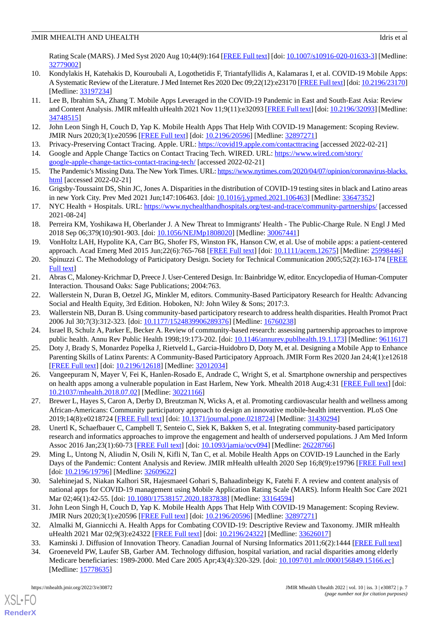Rating Scale (MARS). J Med Syst 2020 Aug 10;44(9):164 [[FREE Full text](http://europepmc.org/abstract/MED/32779002)] [doi: [10.1007/s10916-020-01633-3\]](http://dx.doi.org/10.1007/s10916-020-01633-3) [Medline: [32779002](http://www.ncbi.nlm.nih.gov/entrez/query.fcgi?cmd=Retrieve&db=PubMed&list_uids=32779002&dopt=Abstract)]

- <span id="page-6-0"></span>10. Kondylakis H, Katehakis D, Kouroubali A, Logothetidis F, Triantafyllidis A, Kalamaras I, et al. COVID-19 Mobile Apps: A Systematic Review of the Literature. J Med Internet Res 2020 Dec 09;22(12):e23170 [\[FREE Full text](https://www.jmir.org/2020/12/e23170/)] [doi: [10.2196/23170\]](http://dx.doi.org/10.2196/23170) [Medline: [33197234](http://www.ncbi.nlm.nih.gov/entrez/query.fcgi?cmd=Retrieve&db=PubMed&list_uids=33197234&dopt=Abstract)]
- 11. Lee B, Ibrahim SA, Zhang T. Mobile Apps Leveraged in the COVID-19 Pandemic in East and South-East Asia: Review and Content Analysis. JMIR mHealth uHealth 2021 Nov 11;9(11):e32093 [[FREE Full text\]](https://mhealth.jmir.org/2021/11/e32093/) [doi: [10.2196/32093](http://dx.doi.org/10.2196/32093)] [Medline: [34748515](http://www.ncbi.nlm.nih.gov/entrez/query.fcgi?cmd=Retrieve&db=PubMed&list_uids=34748515&dopt=Abstract)]
- <span id="page-6-2"></span><span id="page-6-1"></span>12. John Leon Singh H, Couch D, Yap K. Mobile Health Apps That Help With COVID-19 Management: Scoping Review. JMIR Nurs 2020;3(1):e20596 [\[FREE Full text\]](http://europepmc.org/abstract/MED/32897271) [doi: [10.2196/20596](http://dx.doi.org/10.2196/20596)] [Medline: [32897271\]](http://www.ncbi.nlm.nih.gov/entrez/query.fcgi?cmd=Retrieve&db=PubMed&list_uids=32897271&dopt=Abstract)
- <span id="page-6-3"></span>13. Privacy-Preserving Contact Tracing. Apple. URL:<https://covid19.apple.com/contacttracing> [accessed 2022-02-21]
- <span id="page-6-4"></span>14. Google and Apple Change Tactics on Contact Tracing Tech. WIRED. URL: [https://www.wired.com/story/](https://www.wired.com/story/google-apple-change-tactics-contact-tracing-tech/) [google-apple-change-tactics-contact-tracing-tech/](https://www.wired.com/story/google-apple-change-tactics-contact-tracing-tech/) [accessed 2022-02-21]
- <span id="page-6-5"></span>15. The Pandemic's Missing Data. The New York Times. URL: [https://www.nytimes.com/2020/04/07/opinion/coronavirus-blacks.](https://www.nytimes.com/2020/04/07/opinion/coronavirus-blacks.html) [html](https://www.nytimes.com/2020/04/07/opinion/coronavirus-blacks.html) [accessed 2022-02-21]
- <span id="page-6-6"></span>16. Grigsby-Toussaint DS, Shin JC, Jones A. Disparities in the distribution of COVID-19 testing sites in black and Latino areas in new York City. Prev Med 2021 Jun;147:106463. [doi: [10.1016/j.ypmed.2021.106463\]](http://dx.doi.org/10.1016/j.ypmed.2021.106463) [Medline: [33647352](http://www.ncbi.nlm.nih.gov/entrez/query.fcgi?cmd=Retrieve&db=PubMed&list_uids=33647352&dopt=Abstract)]
- <span id="page-6-7"></span>17. NYC Health + Hospitals. URL: <https://www.nychealthandhospitals.org/test-and-trace/community-partnerships/> [accessed 2021-08-24]
- <span id="page-6-8"></span>18. Perreira KM, Yoshikawa H, Oberlander J. A New Threat to Immigrants' Health - The Public-Charge Rule. N Engl J Med 2018 Sep 06;379(10):901-903. [doi: [10.1056/NEJMp1808020\]](http://dx.doi.org/10.1056/NEJMp1808020) [Medline: [30067441\]](http://www.ncbi.nlm.nih.gov/entrez/query.fcgi?cmd=Retrieve&db=PubMed&list_uids=30067441&dopt=Abstract)
- <span id="page-6-9"></span>19. VonHoltz LAH, Hypolite KA, Carr BG, Shofer FS, Winston FK, Hanson CW, et al. Use of mobile apps: a patient-centered approach. Acad Emerg Med 2015 Jun;22(6):765-768 [\[FREE Full text\]](https://doi.org/10.1111/acem.12675) [doi: [10.1111/acem.12675\]](http://dx.doi.org/10.1111/acem.12675) [Medline: [25998446\]](http://www.ncbi.nlm.nih.gov/entrez/query.fcgi?cmd=Retrieve&db=PubMed&list_uids=25998446&dopt=Abstract)
- <span id="page-6-11"></span><span id="page-6-10"></span>20. Spinuzzi C. The Methodology of Participatory Design. Society for Technical Communication 2005;52(2):163-174 [\[FREE](https://www.ingentaconnect.com/content/stc/tc/2005/00000052/00000002/art00005) [Full text\]](https://www.ingentaconnect.com/content/stc/tc/2005/00000052/00000002/art00005)
- <span id="page-6-12"></span>21. Abras C, Maloney-Krichmar D, Preece J. User-Centered Design. In: Bainbridge W, editor. Encyclopedia of Human-Computer Interaction. Thousand Oaks: Sage Publications; 2004:763.
- <span id="page-6-13"></span>22. Wallerstein N, Duran B, Oetzel JG, Minkler M, editors. Community-Based Participatory Research for Health: Advancing Social and Health Equity, 3rd Edition. Hoboken, NJ: John Wiley & Sons; 2017:3.
- 23. Wallerstein NB, Duran B. Using community-based participatory research to address health disparities. Health Promot Pract 2006 Jul 30;7(3):312-323. [doi: [10.1177/1524839906289376](http://dx.doi.org/10.1177/1524839906289376)] [Medline: [16760238](http://www.ncbi.nlm.nih.gov/entrez/query.fcgi?cmd=Retrieve&db=PubMed&list_uids=16760238&dopt=Abstract)]
- 24. Israel B, Schulz A, Parker E, Becker A. Review of community-based research: assessing partnership approaches to improve public health. Annu Rev Public Health 1998;19:173-202. [doi: [10.1146/annurev.publhealth.19.1.173\]](http://dx.doi.org/10.1146/annurev.publhealth.19.1.173) [Medline: [9611617](http://www.ncbi.nlm.nih.gov/entrez/query.fcgi?cmd=Retrieve&db=PubMed&list_uids=9611617&dopt=Abstract)]
- 25. Doty J, Brady S, Monardez Popelka J, Rietveld L, Garcia-Huidobro D, Doty M, et al. Designing a Mobile App to Enhance Parenting Skills of Latinx Parents: A Community-Based Participatory Approach. JMIR Form Res 2020 Jan 24;4(1):e12618 [[FREE Full text](https://formative.jmir.org/2020/1/e12618/)] [doi: [10.2196/12618\]](http://dx.doi.org/10.2196/12618) [Medline: [32012034\]](http://www.ncbi.nlm.nih.gov/entrez/query.fcgi?cmd=Retrieve&db=PubMed&list_uids=32012034&dopt=Abstract)
- <span id="page-6-14"></span>26. Vangeepuram N, Mayer V, Fei K, Hanlen-Rosado E, Andrade C, Wright S, et al. Smartphone ownership and perspectives on health apps among a vulnerable population in East Harlem, New York. Mhealth 2018 Aug;4:31 [[FREE Full text](https://doi.org/10.21037/mhealth.2018.07.02)] [doi: [10.21037/mhealth.2018.07.02](http://dx.doi.org/10.21037/mhealth.2018.07.02)] [Medline: [30221166](http://www.ncbi.nlm.nih.gov/entrez/query.fcgi?cmd=Retrieve&db=PubMed&list_uids=30221166&dopt=Abstract)]
- <span id="page-6-15"></span>27. Brewer L, Hayes S, Caron A, Derby D, Breutzman N, Wicks A, et al. Promoting cardiovascular health and wellness among African-Americans: Community participatory approach to design an innovative mobile-health intervention. PLoS One 2019;14(8):e0218724 [\[FREE Full text](https://dx.plos.org/10.1371/journal.pone.0218724)] [doi: [10.1371/journal.pone.0218724\]](http://dx.doi.org/10.1371/journal.pone.0218724) [Medline: [31430294\]](http://www.ncbi.nlm.nih.gov/entrez/query.fcgi?cmd=Retrieve&db=PubMed&list_uids=31430294&dopt=Abstract)
- <span id="page-6-16"></span>28. Unertl K, Schaefbauer C, Campbell T, Senteio C, Siek K, Bakken S, et al. Integrating community-based participatory research and informatics approaches to improve the engagement and health of underserved populations. J Am Med Inform Assoc 2016 Jan;23(1):60-73 [[FREE Full text](http://europepmc.org/abstract/MED/26228766)] [doi: [10.1093/jamia/ocv094](http://dx.doi.org/10.1093/jamia/ocv094)] [Medline: [26228766\]](http://www.ncbi.nlm.nih.gov/entrez/query.fcgi?cmd=Retrieve&db=PubMed&list_uids=26228766&dopt=Abstract)
- <span id="page-6-17"></span>29. Ming L, Untong N, Aliudin N, Osili N, Kifli N, Tan C, et al. Mobile Health Apps on COVID-19 Launched in the Early Days of the Pandemic: Content Analysis and Review. JMIR mHealth uHealth 2020 Sep 16;8(9):e19796 [[FREE Full text\]](https://mhealth.jmir.org/2020/9/e19796/) [doi: [10.2196/19796](http://dx.doi.org/10.2196/19796)] [Medline: [32609622\]](http://www.ncbi.nlm.nih.gov/entrez/query.fcgi?cmd=Retrieve&db=PubMed&list_uids=32609622&dopt=Abstract)
- <span id="page-6-19"></span><span id="page-6-18"></span>30. Salehinejad S, Niakan Kalhori SR, Hajesmaeel Gohari S, Bahaadinbeigy K, Fatehi F. A review and content analysis of national apps for COVID-19 management using Mobile Application Rating Scale (MARS). Inform Health Soc Care 2021 Mar 02;46(1):42-55. [doi: [10.1080/17538157.2020.1837838\]](http://dx.doi.org/10.1080/17538157.2020.1837838) [Medline: [33164594\]](http://www.ncbi.nlm.nih.gov/entrez/query.fcgi?cmd=Retrieve&db=PubMed&list_uids=33164594&dopt=Abstract)
- <span id="page-6-20"></span>31. John Leon Singh H, Couch D, Yap K. Mobile Health Apps That Help With COVID-19 Management: Scoping Review. JMIR Nurs 2020;3(1):e20596 [\[FREE Full text\]](http://europepmc.org/abstract/MED/32897271) [doi: [10.2196/20596](http://dx.doi.org/10.2196/20596)] [Medline: [32897271\]](http://www.ncbi.nlm.nih.gov/entrez/query.fcgi?cmd=Retrieve&db=PubMed&list_uids=32897271&dopt=Abstract)
- 32. Almalki M, Giannicchi A. Health Apps for Combating COVID-19: Descriptive Review and Taxonomy. JMIR mHealth uHealth 2021 Mar 02;9(3):e24322 [[FREE Full text](https://mhealth.jmir.org/2021/3/e24322/)] [doi: [10.2196/24322\]](http://dx.doi.org/10.2196/24322) [Medline: [33626017\]](http://www.ncbi.nlm.nih.gov/entrez/query.fcgi?cmd=Retrieve&db=PubMed&list_uids=33626017&dopt=Abstract)
- 33. Kaminski J. Diffusion of Innovation Theory. Canadian Journal of Nursing Informatics 2011;6(2):1444 [\[FREE Full text\]](https://cjni.net/journal/?p=1444)
- 34. Groeneveld PW, Laufer SB, Garber AM. Technology diffusion, hospital variation, and racial disparities among elderly Medicare beneficiaries: 1989-2000. Med Care 2005 Apr;43(4):320-329. [doi: [10.1097/01.mlr.0000156849.15166.ec\]](http://dx.doi.org/10.1097/01.mlr.0000156849.15166.ec) [Medline: [15778635](http://www.ncbi.nlm.nih.gov/entrez/query.fcgi?cmd=Retrieve&db=PubMed&list_uids=15778635&dopt=Abstract)]

[XSL](http://www.w3.org/Style/XSL)•FO **[RenderX](http://www.renderx.com/)**